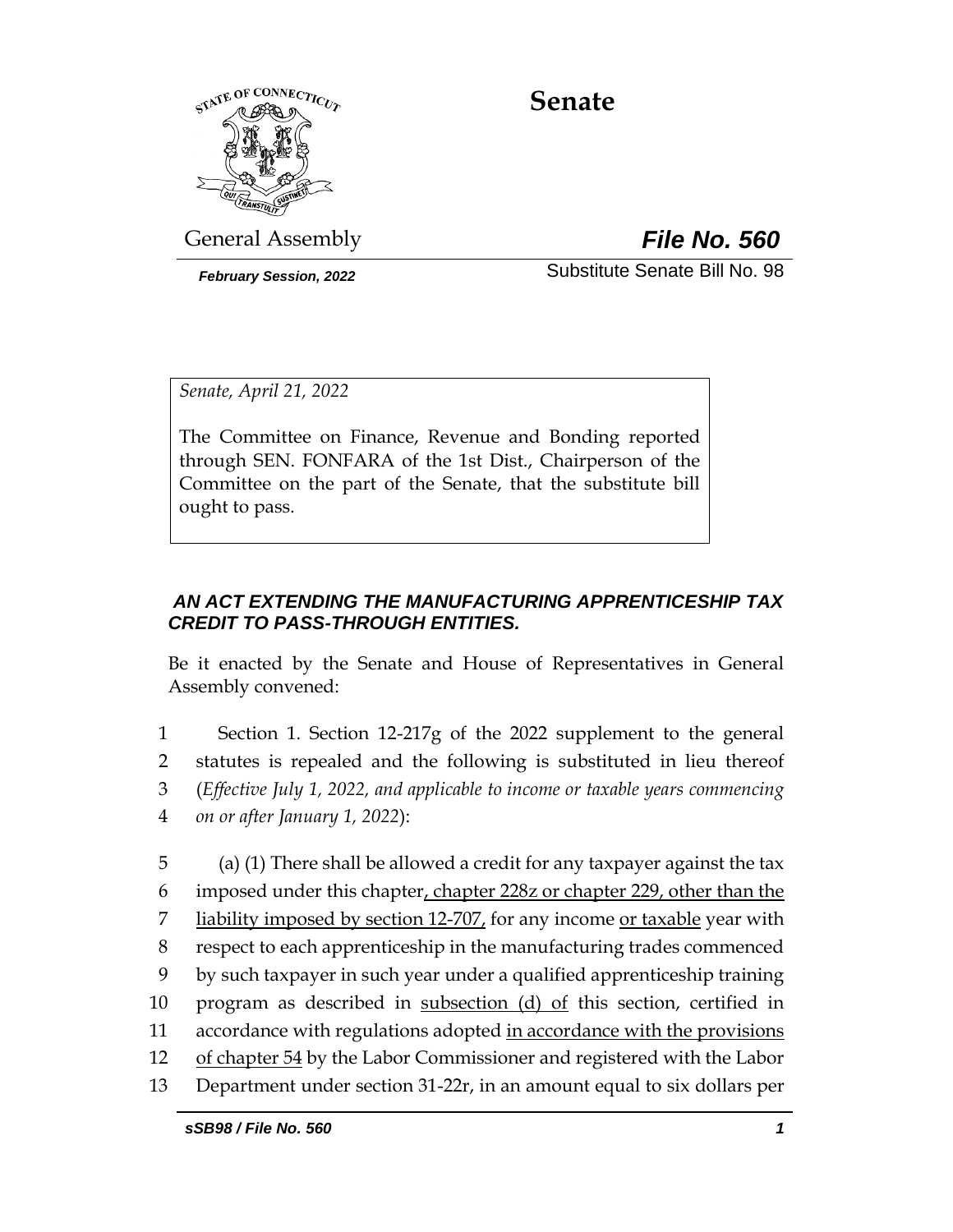

# **Senate**

General Assembly *File No. 560*

*February Session, 2022* Substitute Senate Bill No. 98

*Senate, April 21, 2022*

The Committee on Finance, Revenue and Bonding reported through SEN. FONFARA of the 1st Dist., Chairperson of the Committee on the part of the Senate, that the substitute bill ought to pass.

# *AN ACT EXTENDING THE MANUFACTURING APPRENTICESHIP TAX CREDIT TO PASS-THROUGH ENTITIES.*

Be it enacted by the Senate and House of Representatives in General Assembly convened:

 Section 1. Section 12-217g of the 2022 supplement to the general statutes is repealed and the following is substituted in lieu thereof (*Effective July 1, 2022, and applicable to income or taxable years commencing on or after January 1, 2022*):

5 (a) (1) There shall be allowed a credit for any taxpayer against the tax 6 imposed under this chapter, chapter 228z or chapter 229, other than the 7 liability imposed by section  $12-707$ , for any income or taxable year with 8 respect to each apprenticeship in the manufacturing trades commenced 9 by such taxpayer in such year under a qualified apprenticeship training 10 program as described in subsection (d) of this section, certified in 11 accordance with regulations adopted in accordance with the provisions 12 of chapter 54 by the Labor Commissioner and registered with the Labor 13 Department under section 31-22r, in an amount equal to six dollars per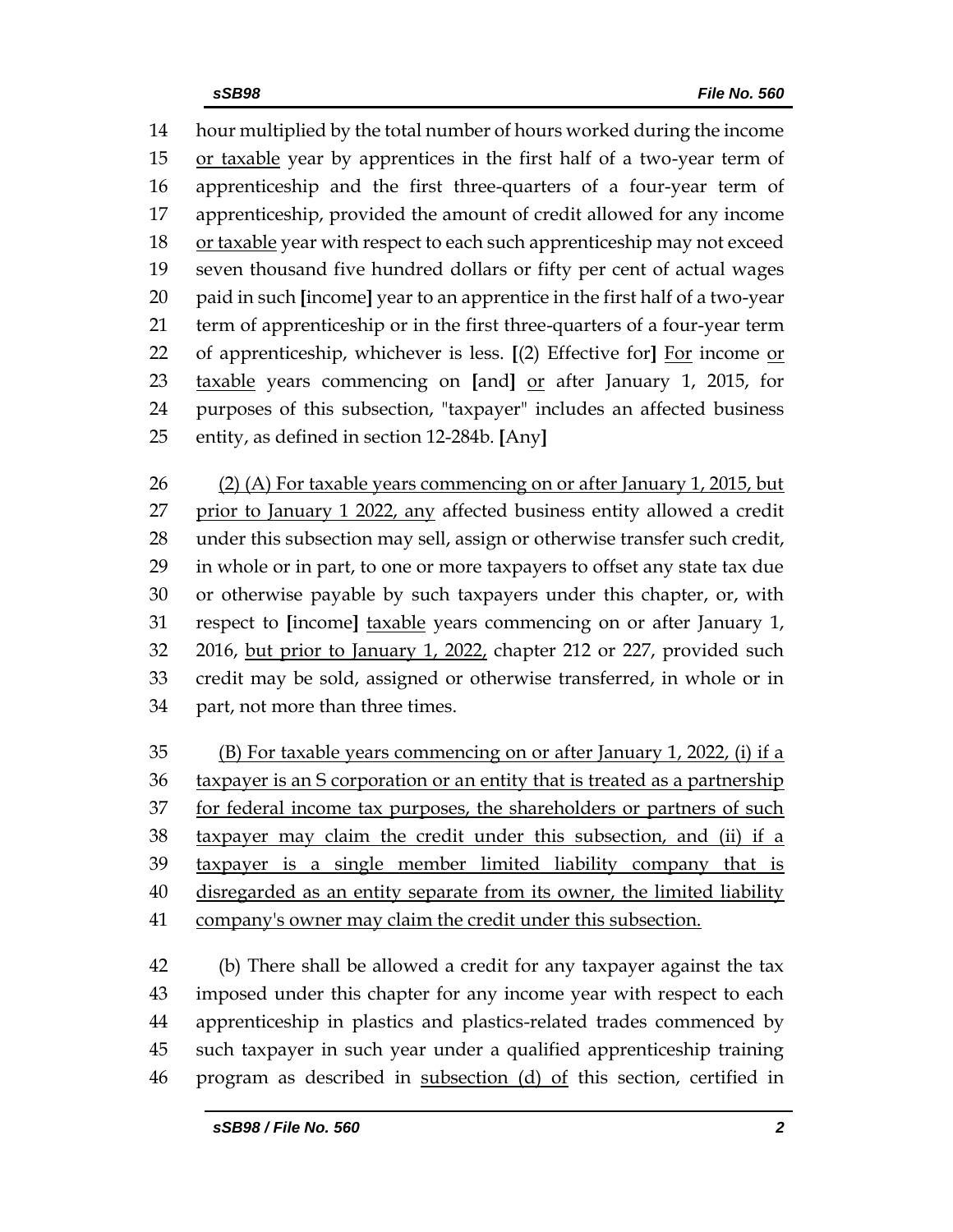hour multiplied by the total number of hours worked during the income or taxable year by apprentices in the first half of a two-year term of apprenticeship and the first three-quarters of a four-year term of apprenticeship, provided the amount of credit allowed for any income 18 or taxable year with respect to each such apprenticeship may not exceed seven thousand five hundred dollars or fifty per cent of actual wages paid in such **[**income**]** year to an apprentice in the first half of a two-year term of apprenticeship or in the first three-quarters of a four-year term of apprenticeship, whichever is less. **[**(2) Effective for**]** For income or taxable years commencing on **[**and**]** or after January 1, 2015, for purposes of this subsection, "taxpayer" includes an affected business entity, as defined in section 12-284b. **[**Any**]**

 (2) (A) For taxable years commencing on or after January 1, 2015, but 27 prior to January 1 2022, any affected business entity allowed a credit under this subsection may sell, assign or otherwise transfer such credit, in whole or in part, to one or more taxpayers to offset any state tax due or otherwise payable by such taxpayers under this chapter, or, with respect to **[**income**]** taxable years commencing on or after January 1, 2016, but prior to January 1, 2022, chapter 212 or 227, provided such credit may be sold, assigned or otherwise transferred, in whole or in part, not more than three times.

 (B) For taxable years commencing on or after January 1, 2022, (i) if a taxpayer is an S corporation or an entity that is treated as a partnership 37 for federal income tax purposes, the shareholders or partners of such 38 taxpayer may claim the credit under this subsection, and (ii) if a taxpayer is a single member limited liability company that is disregarded as an entity separate from its owner, the limited liability company's owner may claim the credit under this subsection.

 (b) There shall be allowed a credit for any taxpayer against the tax imposed under this chapter for any income year with respect to each apprenticeship in plastics and plastics-related trades commenced by such taxpayer in such year under a qualified apprenticeship training program as described in subsection (d) of this section, certified in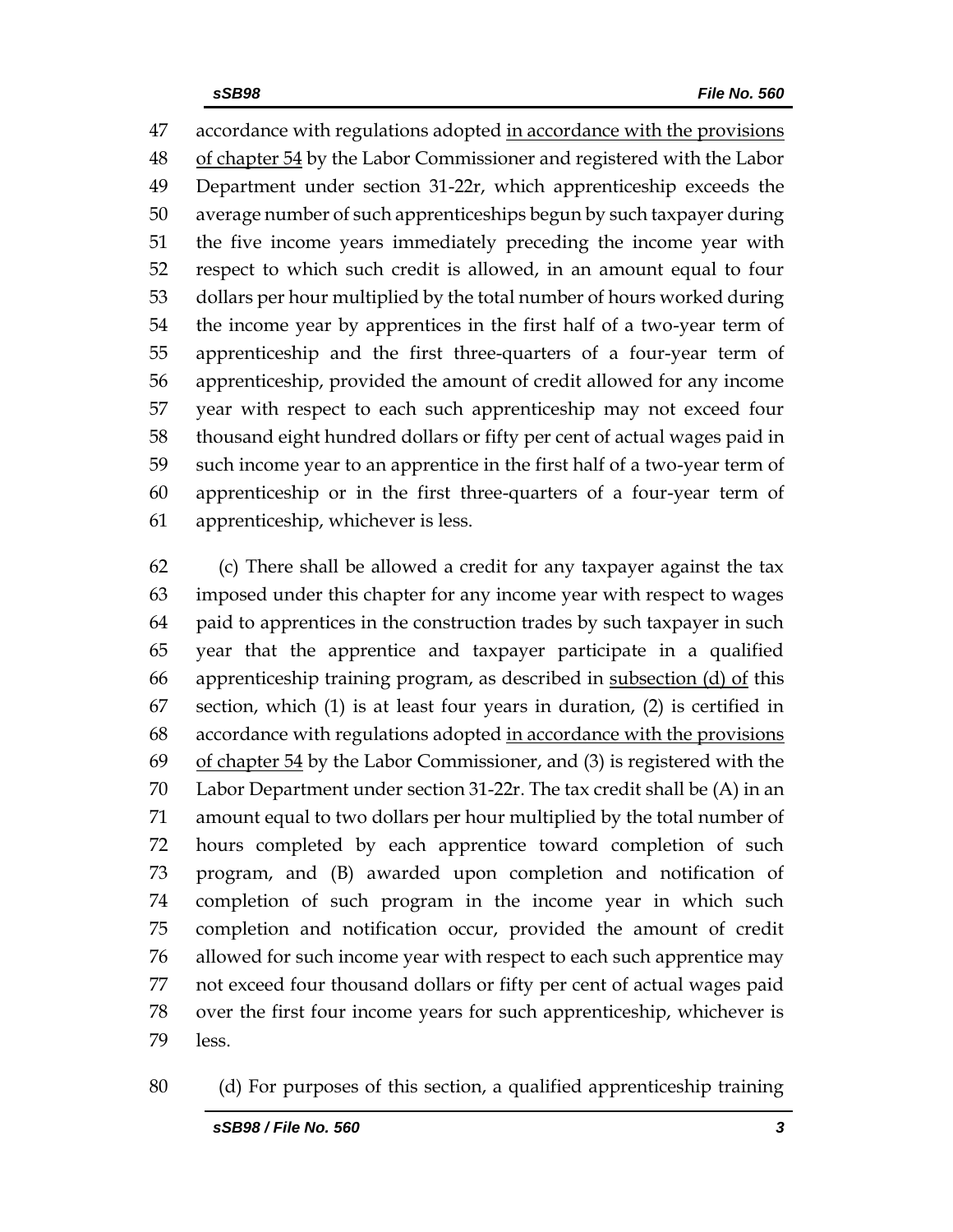accordance with regulations adopted in accordance with the provisions of chapter 54 by the Labor Commissioner and registered with the Labor Department under section 31-22r, which apprenticeship exceeds the average number of such apprenticeships begun by such taxpayer during the five income years immediately preceding the income year with respect to which such credit is allowed, in an amount equal to four dollars per hour multiplied by the total number of hours worked during the income year by apprentices in the first half of a two-year term of apprenticeship and the first three-quarters of a four-year term of apprenticeship, provided the amount of credit allowed for any income year with respect to each such apprenticeship may not exceed four thousand eight hundred dollars or fifty per cent of actual wages paid in such income year to an apprentice in the first half of a two-year term of apprenticeship or in the first three-quarters of a four-year term of apprenticeship, whichever is less.

 (c) There shall be allowed a credit for any taxpayer against the tax imposed under this chapter for any income year with respect to wages paid to apprentices in the construction trades by such taxpayer in such year that the apprentice and taxpayer participate in a qualified 66 apprenticeship training program, as described in subsection  $(d)$  of this section, which (1) is at least four years in duration, (2) is certified in accordance with regulations adopted in accordance with the provisions of chapter 54 by the Labor Commissioner, and (3) is registered with the Labor Department under section 31-22r. The tax credit shall be (A) in an amount equal to two dollars per hour multiplied by the total number of hours completed by each apprentice toward completion of such program, and (B) awarded upon completion and notification of completion of such program in the income year in which such completion and notification occur, provided the amount of credit allowed for such income year with respect to each such apprentice may not exceed four thousand dollars or fifty per cent of actual wages paid over the first four income years for such apprenticeship, whichever is less.

(d) For purposes of this section, a qualified apprenticeship training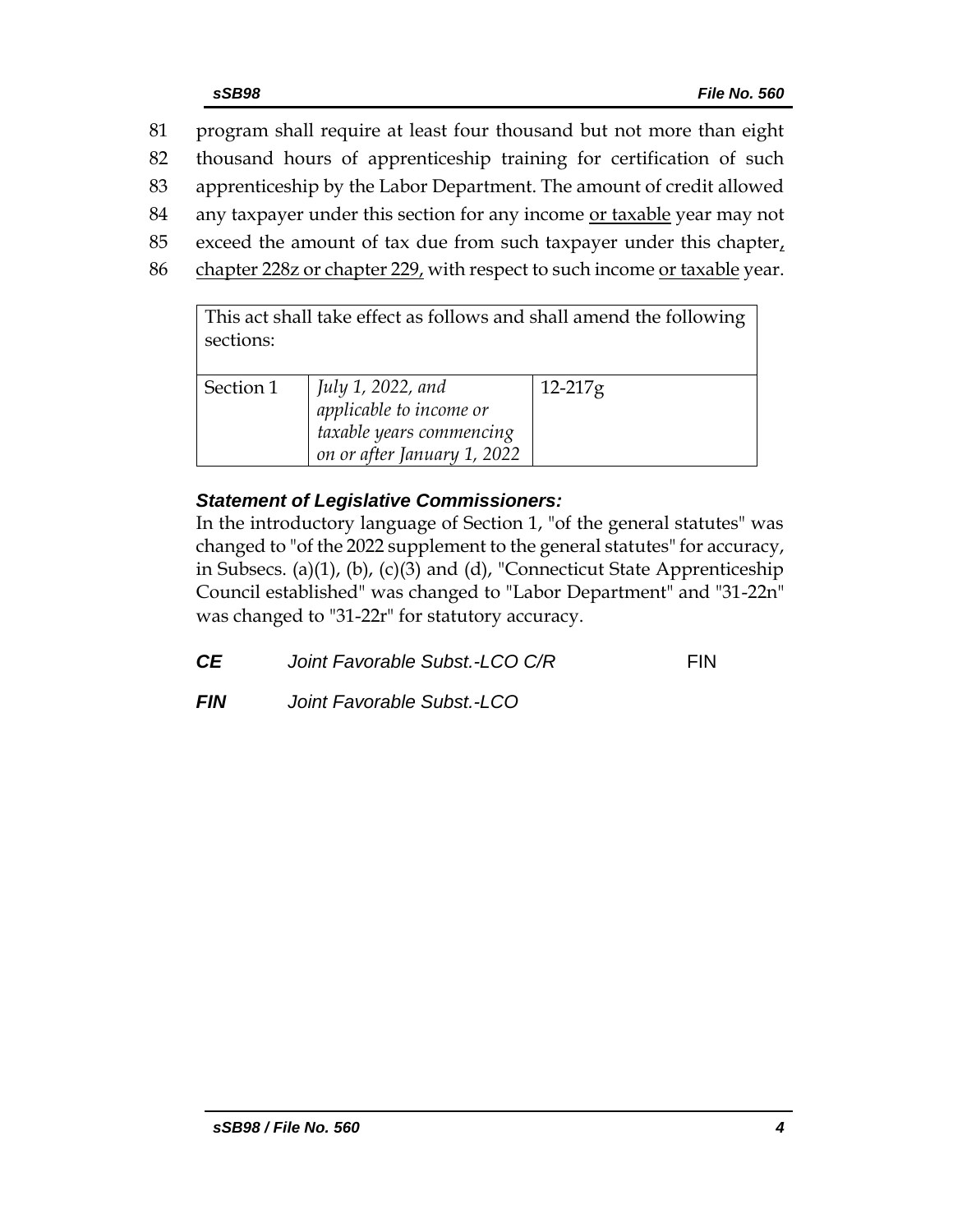81 program shall require at least four thousand but not more than eight 82 thousand hours of apprenticeship training for certification of such 83 apprenticeship by the Labor Department. The amount of credit allowed 84 any taxpayer under this section for any income or taxable year may not 85 exceed the amount of tax due from such taxpayer under this chapter $<sub>t</sub>$ </sub> 86 chapter 228z or chapter 229, with respect to such income or taxable year. This act shall take effect as follows and shall amend the following

| sections: | This act shall take effect as follows and shall allielly the following                                  |           |
|-----------|---------------------------------------------------------------------------------------------------------|-----------|
| Section 1 | July 1, 2022, and<br>applicable to income or<br>taxable years commencing<br>on or after January 1, 2022 | $12-217g$ |

# *Statement of Legislative Commissioners:*

In the introductory language of Section 1, "of the general statutes" was changed to "of the 2022 supplement to the general statutes" for accuracy, in Subsecs. (a)(1), (b), (c)(3) and (d), "Connecticut State Apprenticeship Council established" was changed to "Labor Department" and "31-22n" was changed to "31-22r" for statutory accuracy.

| СE<br>Joint Favorable Subst.-LCO C/R | <b>FIN</b> |
|--------------------------------------|------------|
|--------------------------------------|------------|

*FIN Joint Favorable Subst.-LCO*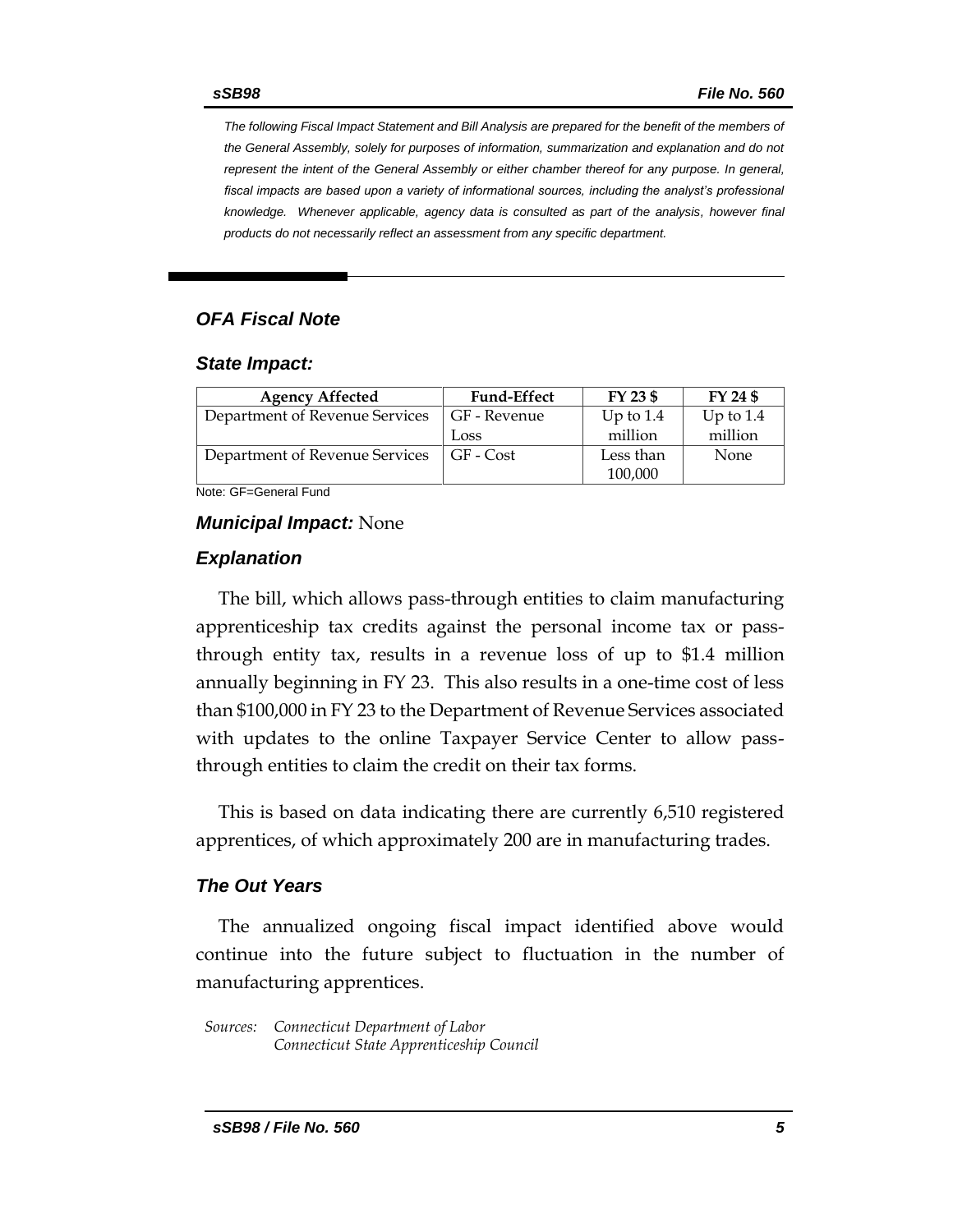*The following Fiscal Impact Statement and Bill Analysis are prepared for the benefit of the members of the General Assembly, solely for purposes of information, summarization and explanation and do not represent the intent of the General Assembly or either chamber thereof for any purpose. In general,*  fiscal impacts are based upon a variety of informational sources, including the analyst's professional *knowledge. Whenever applicable, agency data is consulted as part of the analysis, however final products do not necessarily reflect an assessment from any specific department.*

### *OFA Fiscal Note*

#### *State Impact:*

| <b>Agency Affected</b>         | <b>Fund-Effect</b> | FY 23 \$    | FY 24 \$    |
|--------------------------------|--------------------|-------------|-------------|
| Department of Revenue Services | GF - Revenue       | Up to $1.4$ | Up to $1.4$ |
|                                | Loss               | million     | million     |
| Department of Revenue Services | GF - Cost          | Less than   | None        |
|                                |                    | 100,000     |             |

Note: GF=General Fund

#### *Municipal Impact:* None

#### *Explanation*

The bill, which allows pass-through entities to claim manufacturing apprenticeship tax credits against the personal income tax or passthrough entity tax, results in a revenue loss of up to \$1.4 million annually beginning in FY 23. This also results in a one-time cost of less than \$100,000 in FY 23 to the Department of Revenue Services associated with updates to the online Taxpayer Service Center to allow passthrough entities to claim the credit on their tax forms.

This is based on data indicating there are currently 6,510 registered apprentices, of which approximately 200 are in manufacturing trades.

#### *The Out Years*

The annualized ongoing fiscal impact identified above would continue into the future subject to fluctuation in the number of manufacturing apprentices.

*Sources: Connecticut Department of Labor Connecticut State Apprenticeship Council*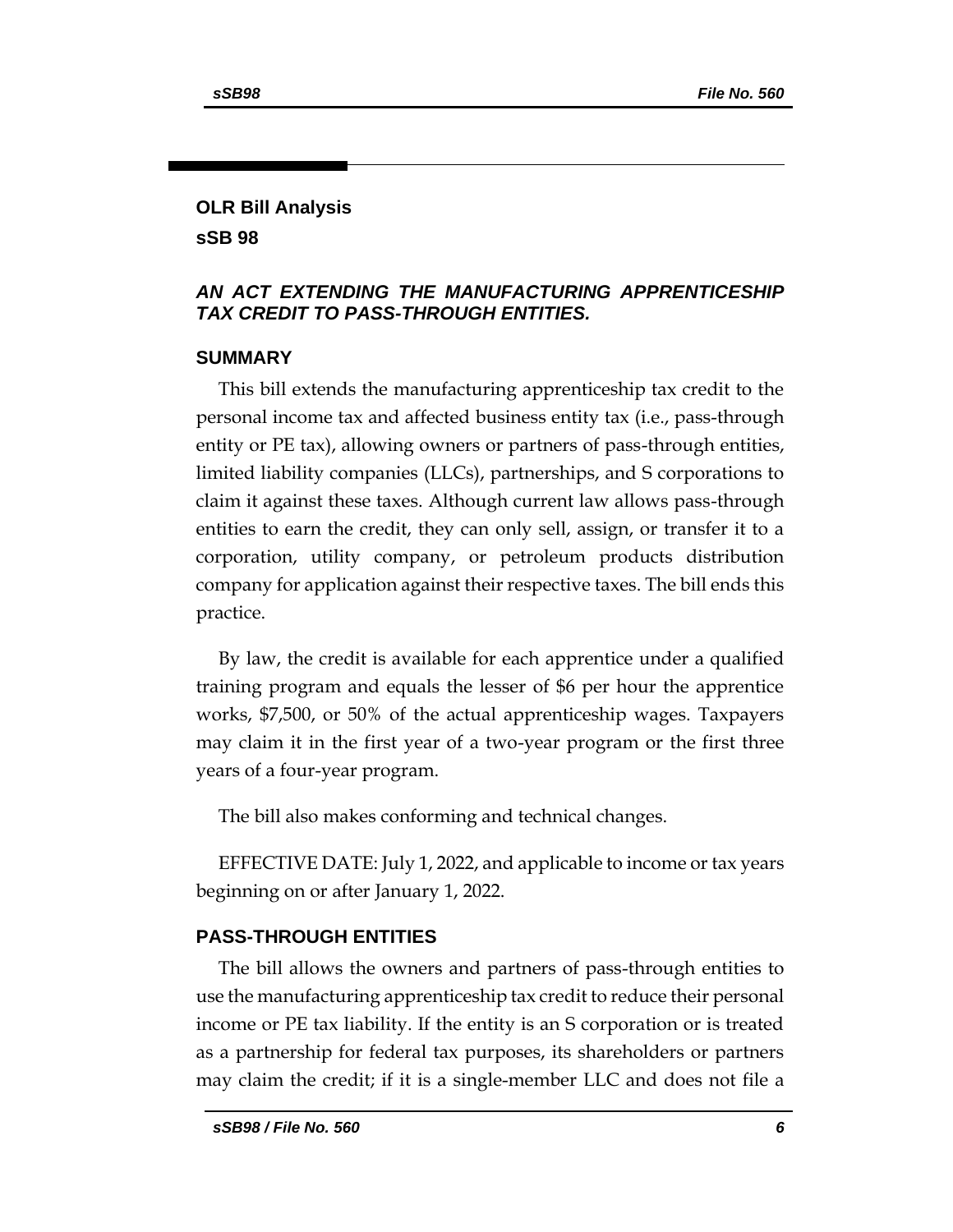# **OLR Bill Analysis sSB 98**

### *AN ACT EXTENDING THE MANUFACTURING APPRENTICESHIP TAX CREDIT TO PASS-THROUGH ENTITIES.*

## **SUMMARY**

This bill extends the manufacturing apprenticeship tax credit to the personal income tax and affected business entity tax (i.e., pass-through entity or PE tax), allowing owners or partners of pass-through entities, limited liability companies (LLCs), partnerships, and S corporations to claim it against these taxes. Although current law allows pass-through entities to earn the credit, they can only sell, assign, or transfer it to a corporation, utility company, or petroleum products distribution company for application against their respective taxes. The bill ends this practice.

By law, the credit is available for each apprentice under a qualified training program and equals the lesser of \$6 per hour the apprentice works, \$7,500, or 50% of the actual apprenticeship wages. Taxpayers may claim it in the first year of a two-year program or the first three years of a four-year program.

The bill also makes conforming and technical changes.

EFFECTIVE DATE: July 1, 2022, and applicable to income or tax years beginning on or after January 1, 2022.

# **PASS-THROUGH ENTITIES**

The bill allows the owners and partners of pass-through entities to use the manufacturing apprenticeship tax credit to reduce their personal income or PE tax liability. If the entity is an S corporation or is treated as a partnership for federal tax purposes, its shareholders or partners may claim the credit; if it is a single-member LLC and does not file a